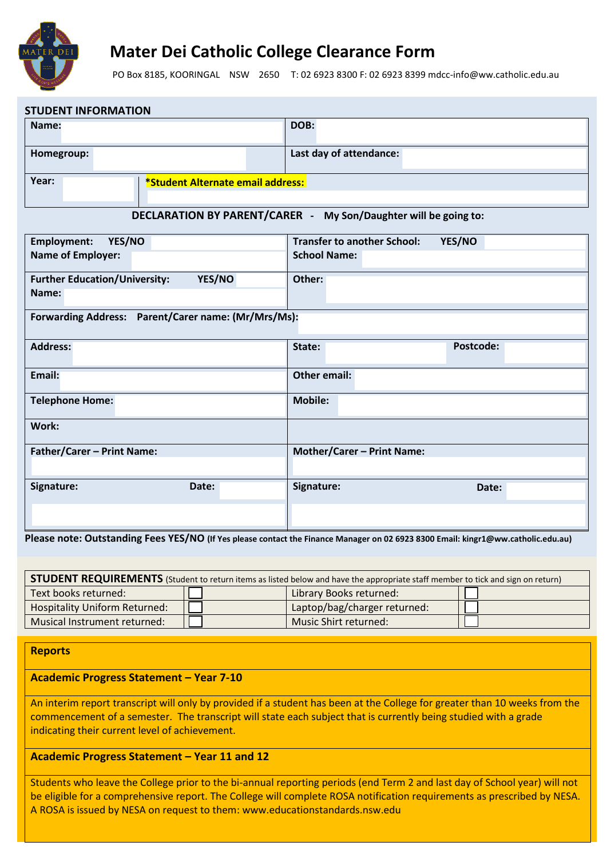

**STUDENT INFORMATION**

### **Mater Dei Catholic College Clearance Form**

PO Box 8185, KOORINGAL NSW 2650 T: 02 6923 8300 F: 02 6923 8399 mdcc-info@ww.catholic.edu.au

| STUDENT INFORMATION                                             |                                              |  |  |  |
|-----------------------------------------------------------------|----------------------------------------------|--|--|--|
| Name:                                                           | DOB:                                         |  |  |  |
| Homegroup:                                                      | Last day of attendance:                      |  |  |  |
| Year:<br>*Student Alternate email address:                      |                                              |  |  |  |
| DECLARATION BY PARENT/CARER - My Son/Daughter will be going to: |                                              |  |  |  |
| <b>Employment:</b><br>YES/NO                                    | <b>Transfer to another School:</b><br>YES/NO |  |  |  |
| <b>Name of Employer:</b>                                        | <b>School Name:</b>                          |  |  |  |
| YES/NO<br><b>Further Education/University:</b><br>Name:         | Other:                                       |  |  |  |
| Forwarding Address: Parent/Carer name: (Mr/Mrs/Ms):             |                                              |  |  |  |
| <b>Address:</b>                                                 | Postcode:<br>State:                          |  |  |  |
| Email:                                                          | <b>Other email:</b>                          |  |  |  |
| <b>Telephone Home:</b>                                          | <b>Mobile:</b>                               |  |  |  |
| Work:                                                           |                                              |  |  |  |
| Father/Carer - Print Name:                                      | <b>Mother/Carer - Print Name:</b>            |  |  |  |
| Signature:<br>Date:                                             | Signature:<br>Date:                          |  |  |  |
|                                                                 |                                              |  |  |  |

**Please note: Outstanding Fees YES/NO (If Yes please contact the Finance Manager on 02 6923 8300 Email: kingr1@ww.catholic.edu.au)** 

| <b>STUDENT REQUIREMENTS</b> (Student to return items as listed below and have the appropriate staff member to tick and sign on return) |  |                              |  |  |
|----------------------------------------------------------------------------------------------------------------------------------------|--|------------------------------|--|--|
| Text books returned:                                                                                                                   |  | Library Books returned:      |  |  |
| <b>Hospitality Uniform Returned:</b>                                                                                                   |  | Laptop/bag/charger returned: |  |  |
| Musical Instrument returned:                                                                                                           |  | Music Shirt returned:        |  |  |

### **Reports**

### **Academic Progress Statement – Year 7-10**

An interim report transcript will only by provided if a student has been at the College for greater than 10 weeks from the commencement of a semester. The transcript will state each subject that is currently being studied with a grade indicating their current level of achievement.

#### **Academic Progress Statement – Year 11 and 12**

Students who leave the College prior to the bi-annual reporting periods (end Term 2 and last day of School year) will not be eligible for a comprehensive report. The College will complete ROSA notification requirements as prescribed by NESA. A ROSA is issued by NESA on request to them: www.educationstandards.nsw.edu